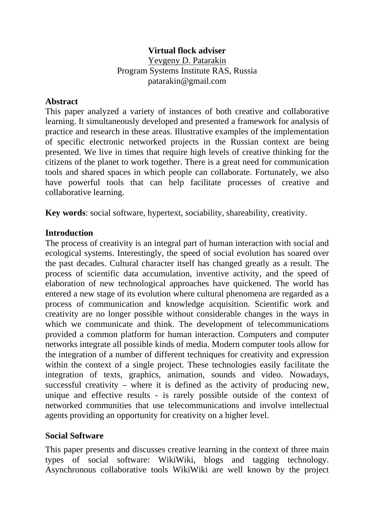## **Virtual flock adviser**

Yevgeny D. Patarakin Program Systems Institute RAS, Russia patarakin@gmail.com

#### **Abstract**

This paper analyzed a variety of instances of both creative and collaborative learning. It simultaneously developed and presented a framework for analysis of practice and research in these areas. Illustrative examples of the implementation of specific electronic networked projects in the Russian context are being presented. We live in times that require high levels of creative thinking for the citizens of the planet to work together. There is a great need for communication tools and shared spaces in which people can collaborate. Fortunately, we also have powerful tools that can help facilitate processes of creative and collaborative learning.

**Key words**: social software, hypertext, sociability, shareability, creativity.

## **Introduction**

The process of creativity is an integral part of human interaction with social and ecological systems. Interestingly, the speed of social evolution has soared over the past decades. Cultural character itself has changed greatly as a result. The process of scientific data accumulation, inventive activity, and the speed of elaboration of new technological approaches have quickened. The world has entered a new stage of its evolution where cultural phenomena are regarded as a process of communication and knowledge acquisition. Scientific work and creativity are no longer possible without considerable changes in the ways in which we communicate and think. The development of telecommunications provided a common platform for human interaction. Computers and computer networks integrate all possible kinds of media. Modern computer tools allow for the integration of a number of different techniques for creativity and expression within the context of a single project. These technologies easily facilitate the integration of texts, graphics, animation, sounds and video. Nowadays, successful creativity – where it is defined as the activity of producing new, unique and effective results - is rarely possible outside of the context of networked communities that use telecommunications and involve intellectual agents providing an opportunity for creativity on a higher level.

## **Social Software**

This paper presents and discusses creative learning in the context of three main types of social software: WikiWiki, blogs and tagging technology. Asynchronous collaborative tools WikiWiki are well known by the project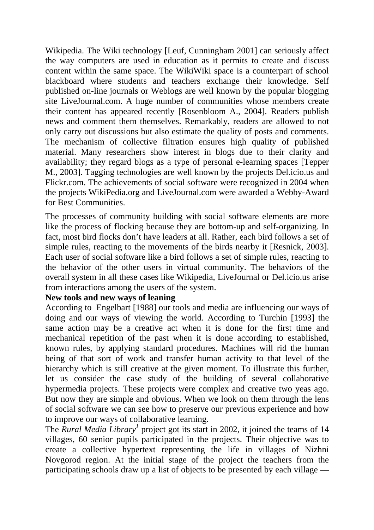Wikipedia. The Wiki technology [Leuf, Cunningham 2001] can seriously affect the way computers are used in education as it permits to create and discuss content within the same space. The WikiWiki space is a counterpart of school blackboard where students and teachers exchange their knowledge. Self published on-line journals or Weblogs are well known by the popular blogging site LiveJournal.com. A huge number of communities whose members create their content has appeared recently [Rosenbloom A., 2004]. Readers publish news and comment them themselves. Remarkably, readers are allowed to not only carry out discussions but also estimate the quality of posts and comments. The mechanism of collective filtration ensures high quality of published material. Many researchers show interest in blogs due to their clarity and availability; they regard blogs as a type of personal e-learning spaces [Tepper M., 2003]. Tagging technologies are well known by the projects Del.icio.us and Flickr.com. The achievements of social software were recognized in 2004 when the projects WikiPedia.org and LiveJournal.com were awarded a Webby-Award for Best Communities.

The processes of community building with social software elements are more like the process of flocking because they are bottom-up and self-organizing. In fact, most bird flocks don't have leaders at all. Rather, each bird follows a set of simple rules, reacting to the movements of the birds nearby it [Resnick, 2003]. Each user of social software like a bird follows a set of simple rules, reacting to the behavior of the other users in virtual community. The behaviors of the overall system in all these cases like Wikipedia, LiveJournal or Del.icio.us arise from interactions among the users of the system.

## **New tools and new ways of leaning**

According to Engelbart [1988] our tools and media are influencing our ways of doing and our ways of viewing the world. According to Turchin [1993] the same action may be a creative act when it is done for the first time and mechanical repetition of the past when it is done according to established, known rules, by applying standard procedures. Machines will rid the human being of that sort of work and transfer human activity to that level of the hierarchy which is still creative at the given moment. To illustrate this further, let us consider the case study of the building of several collaborative hypermedia projects. These projects were complex and creative two yeas ago. But now they are simple and obvious. When we look on them through the lens of social software we can see how to preserve our previous experience and how to improve our ways of collaborative learning.

The *Rural Media Library*<sup>1</sup> project got its start in 2002, it joined the teams of 14 villages, 60 senior pupils participated in the projects. Their objective was to create a collective hypertext representing the life in villages of Nizhni Novgorod region. At the initial stage of the project the teachers from the participating schools draw up a list of objects to be presented by each village —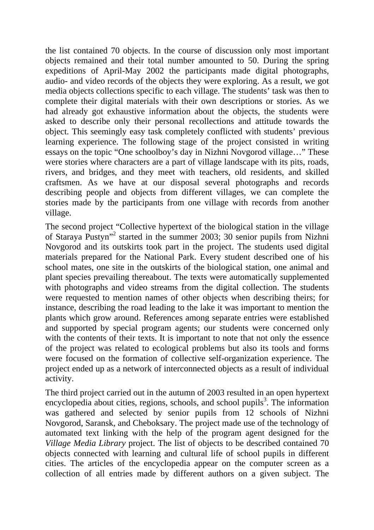the list contained 70 objects. In the course of discussion only most important objects remained and their total number amounted to 50. During the spring expeditions of April-May 2002 the participants made digital photographs, audio- and video records of the objects they were exploring. As a result, we got media objects collections specific to each village. The students' task was then to complete their digital materials with their own descriptions or stories. As we had already got exhaustive information about the objects, the students were asked to describe only their personal recollections and attitude towards the object. This seemingly easy task completely conflicted with students' previous learning experience. The following stage of the project consisted in writing essays on the topic "One schoolboy's day in Nizhni Novgorod village…" These were stories where characters are a part of village landscape with its pits, roads, rivers, and bridges, and they meet with teachers, old residents, and skilled craftsmen. As we have at our disposal several photographs and records describing people and objects from different villages, we can complete the stories made by the participants from one village with records from another village.

The second project "Collective hypertext of the biological station in the village ofStaraya Pustyn"<sup>2</sup> started in the summer 2003; 30 senior pupils from Nizhni Novgorod and its outskirts took part in the project. The students used digital materials prepared for the National Park. Every student described one of his school mates, one site in the outskirts of the biological station, one animal and plant species prevailing thereabout. The texts were automatically supplemented with photographs and video streams from the digital collection. The students were requested to mention names of other objects when describing theirs; for instance, describing the road leading to the lake it was important to mention the plants which grow around. References among separate entries were established and supported by special program agents; our students were concerned only with the contents of their texts. It is important to note that not only the essence of the project was related to ecological problems but also its tools and forms were focused on the formation of collective self-organization experience. The project ended up as a network of interconnected objects as a result of individual activity.

The third project carried out in the autumn of 2003 resulted in an open hypertext encyclopedia about cities, regions, schools, and school pupils<sup>3</sup>[.](#page-4-2) The information was gathered and selected by senior pupils from 12 schools of Nizhni Novgorod, Saransk, and Cheboksary. The project made use of the technology of automated text linking with the help of the program agent designed for the *Village Media Library* project. The list of objects to be described contained 70 objects connected with learning and cultural life of school pupils in different cities. The articles of the encyclopedia appear on the computer screen as a collection of all entries made by different authors on a given subject. The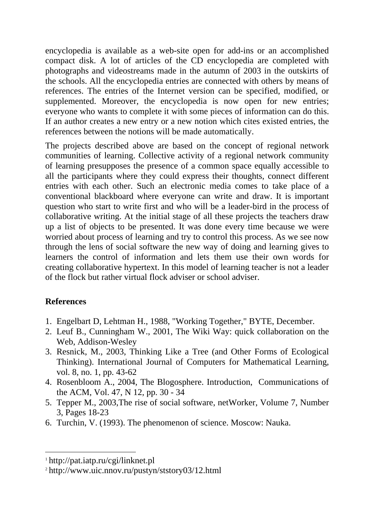encyclopedia is available as a web-site open for add-ins or an accomplished compact disk. A lot of articles of the CD encyclopedia are completed with photographs and videostreams made in the autumn of 2003 in the outskirts of the schools. All the encyclopedia entries are connected with others by means of references. The entries of the Internet version can be specified, modified, or supplemented. Moreover, the encyclopedia is now open for new entries; everyone who wants to complete it with some pieces of information can do this. If an author creates a new entry or a new notion which cites existed entries, the references between the notions will be made automatically.

The projects described above are based on the concept of regional network communities of learning. Collective activity of a regional network community of learning presupposes the presence of a common space equally accessible to all the participants where they could express their thoughts, connect different entries with each other. Such an electronic media comes to take place of a conventional blackboard where everyone can write and draw. It is important question who start to write first and who will be a leader-bird in the process of collaborative writing. At the initial stage of all these projects the teachers draw up a list of objects to be presented. It was done every time because we were worried about process of learning and try to control this process. As we see now through the lens of social software the new way of doing and learning gives to learners the control of information and lets them use their own words for creating collaborative hypertext. In this model of learning teacher is not a leader of the flock but rather virtual flock adviser or school adviser.

# **References**

 $\overline{a}$ 

- 1. Engelbart D, Lehtman H., 1988, "Working Together," BYTE, December.
- 2. Leuf B., Cunningham W., 2001, The Wiki Way: quick collaboration on the Web, Addison-Wesley
- 3. Resnick, M., 2003, Thinking Like a Tree (and Other Forms of Ecological Thinking). International Journal of Computers for Mathematical Learning, vol. 8, no. 1, pp. 43-62
- 4. Rosenbloom A., 2004, The Blogosphere. Introduction, Communications of the ACM, Vol. 47, N 12, pp. 30 - 34
- 5. Tepper M., 2003,The rise of social software, netWorker, Volume 7, Number 3, Pages 18-23
- 6. Turchin, V. (1993). The phenomenon of science. Moscow: Nauka.

<sup>1</sup> http://pat.iatp.ru/cgi/linknet.pl

<sup>2</sup> http://www.uic.nnov.ru/pustyn/ststory03/12.html